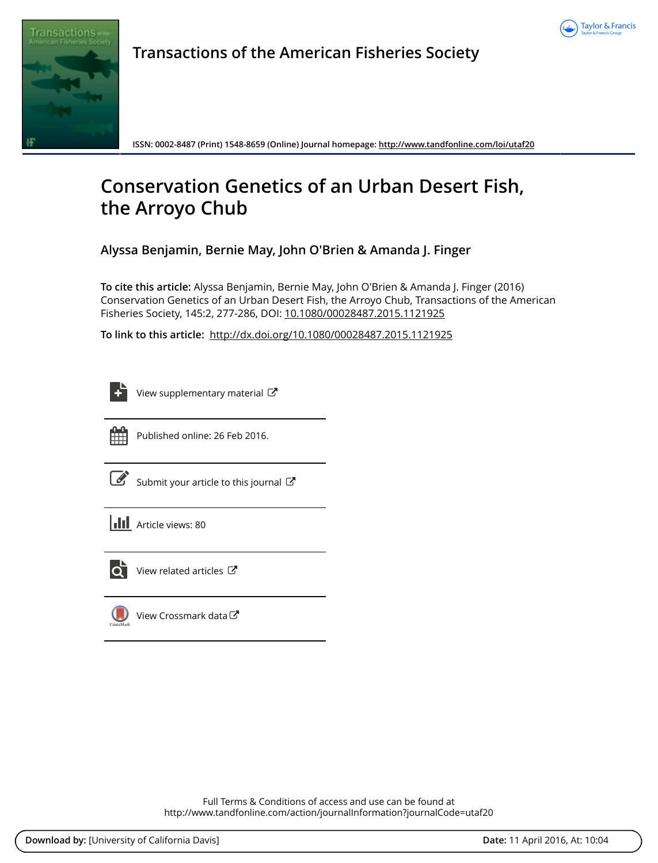



**Transactions of the American Fisheries Society**

**ISSN: 0002-8487 (Print) 1548-8659 (Online) Journal homepage:<http://www.tandfonline.com/loi/utaf20>**

# **Conservation Genetics of an Urban Desert Fish, the Arroyo Chub**

**Alyssa Benjamin, Bernie May, John O'Brien & Amanda J. Finger**

**To cite this article:** Alyssa Benjamin, Bernie May, John O'Brien & Amanda J. Finger (2016) Conservation Genetics of an Urban Desert Fish, the Arroyo Chub, Transactions of the American Fisheries Society, 145:2, 277-286, DOI: [10.1080/00028487.2015.1121925](http://www.tandfonline.com/action/showCitFormats?doi=10.1080/00028487.2015.1121925)

**To link to this article:** <http://dx.doi.org/10.1080/00028487.2015.1121925>

| - |
|---|

[View supplementary material](http://www.tandfonline.com/doi/suppl/10.1080/00028487.2015.1121925)  $\mathbb{Z}$ 



Published online: 26 Feb 2016.

[Submit your article to this journal](http://www.tandfonline.com/action/authorSubmission?journalCode=utaf20&page=instructions)  $\mathbb{Z}$ 





[View related articles](http://www.tandfonline.com/doi/mlt/10.1080/00028487.2015.1121925)  $\mathbb{Z}$ 

[View Crossmark data](http://crossmark.crossref.org/dialog/?doi=10.1080/00028487.2015.1121925&domain=pdf&date_stamp=2016-02-26)

Full Terms & Conditions of access and use can be found at <http://www.tandfonline.com/action/journalInformation?journalCode=utaf20>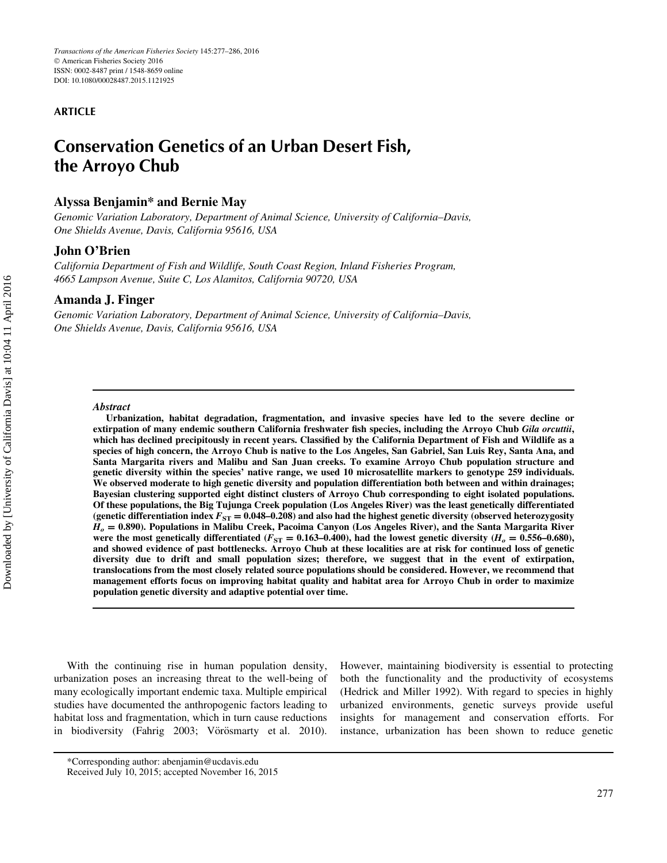# ARTICLE

# Conservation Genetics of an Urban Desert Fish, the Arroyo Chub

# Alyssa Benjamin\* and Bernie May

Genomic Variation Laboratory, Department of Animal Science, University of California–Davis, One Shields Avenue, Davis, California 95616, USA

# John O'Brien

California Department of Fish and Wildlife, South Coast Region, Inland Fisheries Program, 4665 Lampson Avenue, Suite C, Los Alamitos, California 90720, USA

### Amanda J. Finger

Genomic Variation Laboratory, Department of Animal Science, University of California–Davis, One Shields Avenue, Davis, California 95616, USA

#### Abstract

Urbanization, habitat degradation, fragmentation, and invasive species have led to the severe decline or extirpation of many endemic southern California freshwater fish species, including the Arroyo Chub Gila orcuttii, which has declined precipitously in recent years. Classified by the California Department of Fish and Wildlife as a species of high concern, the Arroyo Chub is native to the Los Angeles, San Gabriel, San Luis Rey, Santa Ana, and Santa Margarita rivers and Malibu and San Juan creeks. To examine Arroyo Chub population structure and genetic diversity within the species' native range, we used 10 microsatellite markers to genotype 259 individuals. We observed moderate to high genetic diversity and population differentiation both between and within drainages; Bayesian clustering supported eight distinct clusters of Arroyo Chub corresponding to eight isolated populations. Of these populations, the Big Tujunga Creek population (Los Angeles River) was the least genetically differentiated (genetic differentiation index  $F_{ST} = 0.048$ –0.208) and also had the highest genetic diversity (observed heterozygosity  $H<sub>o</sub> = 0.890$ . Populations in Malibu Creek, Pacoima Canyon (Los Angeles River), and the Santa Margarita River were the most genetically differentiated ( $F_{ST} = 0.163$ –0.400), had the lowest genetic diversity ( $H_o = 0.556$ –0.680), and showed evidence of past bottlenecks. Arroyo Chub at these localities are at risk for continued loss of genetic diversity due to drift and small population sizes; therefore, we suggest that in the event of extirpation, translocations from the most closely related source populations should be considered. However, we recommend that management efforts focus on improving habitat quality and habitat area for Arroyo Chub in order to maximize population genetic diversity and adaptive potential over time.

With the continuing rise in human population density, urbanization poses an increasing threat to the well-being of many ecologically important endemic taxa. Multiple empirical studies have documented the anthropogenic factors leading to habitat loss and fragmentation, which in turn cause reductions in biodiversity (Fahrig 2003; Vörösmarty et al. 2010).

However, maintaining biodiversity is essential to protecting both the functionality and the productivity of ecosystems (Hedrick and Miller 1992). With regard to species in highly urbanized environments, genetic surveys provide useful insights for management and conservation efforts. For instance, urbanization has been shown to reduce genetic

<sup>\*</sup>Corresponding author: abenjamin@ucdavis.edu

Received July 10, 2015; accepted November 16, 2015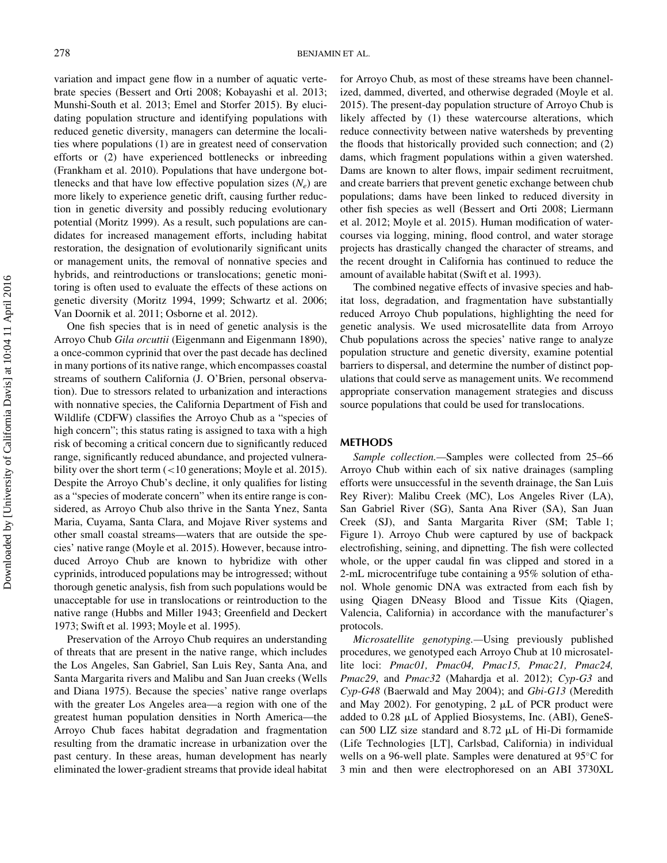variation and impact gene flow in a number of aquatic vertebrate species (Bessert and Orti 2008; Kobayashi et al. 2013; Munshi-South et al. 2013; Emel and Storfer 2015). By elucidating population structure and identifying populations with reduced genetic diversity, managers can determine the localities where populations (1) are in greatest need of conservation efforts or (2) have experienced bottlenecks or inbreeding (Frankham et al. 2010). Populations that have undergone bottlenecks and that have low effective population sizes  $(N_e)$  are more likely to experience genetic drift, causing further reduction in genetic diversity and possibly reducing evolutionary potential (Moritz 1999). As a result, such populations are candidates for increased management efforts, including habitat restoration, the designation of evolutionarily significant units or management units, the removal of nonnative species and hybrids, and reintroductions or translocations; genetic monitoring is often used to evaluate the effects of these actions on genetic diversity (Moritz 1994, 1999; Schwartz et al. 2006; Van Doornik et al. 2011; Osborne et al. 2012).

One fish species that is in need of genetic analysis is the Arroyo Chub Gila orcuttii (Eigenmann and Eigenmann 1890), a once-common cyprinid that over the past decade has declined in many portions of its native range, which encompasses coastal streams of southern California (J. O'Brien, personal observation). Due to stressors related to urbanization and interactions with nonnative species, the California Department of Fish and Wildlife (CDFW) classifies the Arroyo Chub as a "species of high concern"; this status rating is assigned to taxa with a high risk of becoming a critical concern due to significantly reduced range, significantly reduced abundance, and projected vulnerability over the short term (<10 generations; Moyle et al. 2015). Despite the Arroyo Chub's decline, it only qualifies for listing as a "species of moderate concern" when its entire range is considered, as Arroyo Chub also thrive in the Santa Ynez, Santa Maria, Cuyama, Santa Clara, and Mojave River systems and other small coastal streams—waters that are outside the species' native range (Moyle et al. 2015). However, because introduced Arroyo Chub are known to hybridize with other cyprinids, introduced populations may be introgressed; without thorough genetic analysis, fish from such populations would be unacceptable for use in translocations or reintroduction to the native range (Hubbs and Miller 1943; Greenfield and Deckert 1973; Swift et al. 1993; Moyle et al. 1995).

Preservation of the Arroyo Chub requires an understanding of threats that are present in the native range, which includes the Los Angeles, San Gabriel, San Luis Rey, Santa Ana, and Santa Margarita rivers and Malibu and San Juan creeks (Wells and Diana 1975). Because the species' native range overlaps with the greater Los Angeles area—a region with one of the greatest human population densities in North America—the Arroyo Chub faces habitat degradation and fragmentation resulting from the dramatic increase in urbanization over the past century. In these areas, human development has nearly eliminated the lower-gradient streams that provide ideal habitat for Arroyo Chub, as most of these streams have been channelized, dammed, diverted, and otherwise degraded (Moyle et al. 2015). The present-day population structure of Arroyo Chub is likely affected by (1) these watercourse alterations, which reduce connectivity between native watersheds by preventing the floods that historically provided such connection; and (2) dams, which fragment populations within a given watershed. Dams are known to alter flows, impair sediment recruitment, and create barriers that prevent genetic exchange between chub populations; dams have been linked to reduced diversity in other fish species as well (Bessert and Orti 2008; Liermann et al. 2012; Moyle et al. 2015). Human modification of watercourses via logging, mining, flood control, and water storage projects has drastically changed the character of streams, and the recent drought in California has continued to reduce the amount of available habitat (Swift et al. 1993).

The combined negative effects of invasive species and habitat loss, degradation, and fragmentation have substantially reduced Arroyo Chub populations, highlighting the need for genetic analysis. We used microsatellite data from Arroyo Chub populations across the species' native range to analyze population structure and genetic diversity, examine potential barriers to dispersal, and determine the number of distinct populations that could serve as management units. We recommend appropriate conservation management strategies and discuss source populations that could be used for translocations.

#### METHODS

Sample collection.—Samples were collected from 25–66 Arroyo Chub within each of six native drainages (sampling efforts were unsuccessful in the seventh drainage, the San Luis Rey River): Malibu Creek (MC), Los Angeles River (LA), San Gabriel River (SG), Santa Ana River (SA), San Juan Creek (SJ), and Santa Margarita River (SM; Table 1; Figure 1). Arroyo Chub were captured by use of backpack electrofishing, seining, and dipnetting. The fish were collected whole, or the upper caudal fin was clipped and stored in a 2-mL microcentrifuge tube containing a 95% solution of ethanol. Whole genomic DNA was extracted from each fish by using Qiagen DNeasy Blood and Tissue Kits (Qiagen, Valencia, California) in accordance with the manufacturer's protocols.

Microsatellite genotyping.—Using previously published procedures, we genotyped each Arroyo Chub at 10 microsatellite loci: Pmac01, Pmac04, Pmac15, Pmac21, Pmac24, Pmac29, and Pmac32 (Mahardja et al. 2012); Cyp-G3 and Cyp-G48 (Baerwald and May 2004); and Gbi-G13 (Meredith and May 2002). For genotyping,  $2 \mu L$  of PCR product were added to  $0.28$   $\mu$ L of Applied Biosystems, Inc. (ABI), GeneScan 500 LIZ size standard and  $8.72 \mu L$  of Hi-Di formamide (Life Technologies [LT], Carlsbad, California) in individual wells on a 96-well plate. Samples were denatured at  $95^{\circ}$ C for 3 min and then were electrophoresed on an ABI 3730XL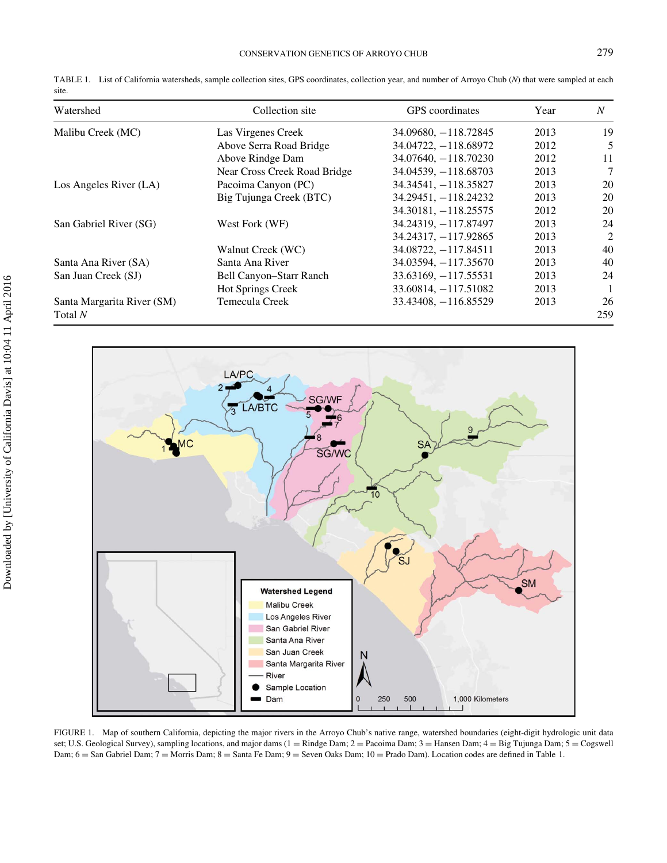| Watershed                  | Collection site              | <b>GPS</b> coordinates | Year | N              |
|----------------------------|------------------------------|------------------------|------|----------------|
| Malibu Creek (MC)          | Las Virgenes Creek           | $34.09680, -118.72845$ | 2013 | 19             |
|                            | Above Serra Road Bridge      | $34.04722, -118.68972$ | 2012 | 5              |
|                            | Above Rindge Dam             | $34.07640, -118.70230$ | 2012 | 11             |
|                            | Near Cross Creek Road Bridge | $34.04539, -118.68703$ | 2013 | 7              |
| Los Angeles River (LA)     | Pacoima Canyon (PC)          | $34.34541, -118.35827$ | 2013 | 20             |
|                            | Big Tujunga Creek (BTC)      | $34.29451, -118.24232$ | 2013 | 20             |
|                            |                              | $34.30181, -118.25575$ | 2012 | 20             |
| San Gabriel River (SG)     | West Fork (WF)               | $34.24319, -117.87497$ | 2013 | 24             |
|                            |                              | $34.24317, -117.92865$ | 2013 | $\overline{2}$ |
|                            | Walnut Creek (WC)            | $34.08722, -117.84511$ | 2013 | 40             |
| Santa Ana River (SA)       | Santa Ana River              | $34.03594, -117.35670$ | 2013 | 40             |
| San Juan Creek (SJ)        | Bell Canyon-Starr Ranch      | $33.63169, -117.55531$ | 2013 | 24             |
|                            | Hot Springs Creek            | $33.60814, -117.51082$ | 2013 |                |
| Santa Margarita River (SM) | Temecula Creek               | $33.43408, -116.85529$ | 2013 | 26             |
| Total N                    |                              |                        |      | 259            |

TABLE 1. List of California watersheds, sample collection sites, GPS coordinates, collection year, and number of Arroyo Chub (N) that were sampled at each site.



FIGURE 1. Map of southern California, depicting the major rivers in the Arroyo Chub's native range, watershed boundaries (eight-digit hydrologic unit data set; U.S. Geological Survey), sampling locations, and major dams (1 = Rindge Dam; 2 = Pacoima Dam; 3 = Hansen Dam; 4 = Big Tujunga Dam; 5 = Cogswell Dam; 6 = San Gabriel Dam; 7 = Morris Dam; 8 = Santa Fe Dam; 9 = Seven Oaks Dam; 10 = Prado Dam). Location codes are defined in Table 1.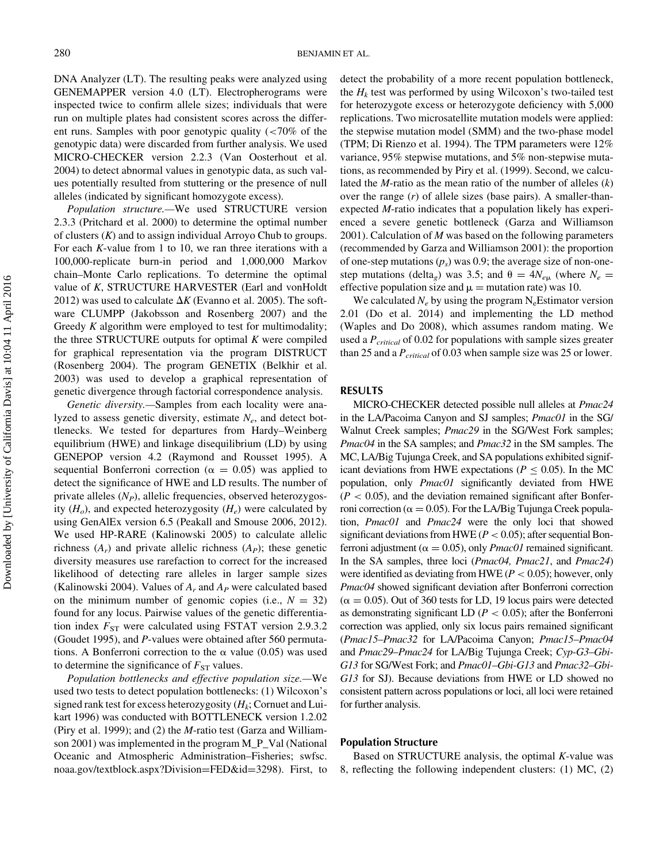DNA Analyzer (LT). The resulting peaks were analyzed using GENEMAPPER version 4.0 (LT). Electropherograms were inspected twice to confirm allele sizes; individuals that were run on multiple plates had consistent scores across the different runs. Samples with poor genotypic quality (<70% of the genotypic data) were discarded from further analysis. We used MICRO-CHECKER version 2.2.3 (Van Oosterhout et al. 2004) to detect abnormal values in genotypic data, as such values potentially resulted from stuttering or the presence of null alleles (indicated by significant homozygote excess).

Population structure.—We used STRUCTURE version 2.3.3 (Pritchard et al. 2000) to determine the optimal number of clusters  $(K)$  and to assign individual Arroyo Chub to groups. For each K-value from 1 to 10, we ran three iterations with a 100,000-replicate burn-in period and 1,000,000 Markov chain–Monte Carlo replications. To determine the optimal value of K, STRUCTURE HARVESTER (Earl and vonHoldt 2012) was used to calculate  $\Delta K$  (Evanno et al. 2005). The software CLUMPP (Jakobsson and Rosenberg 2007) and the Greedy  $K$  algorithm were employed to test for multimodality; the three STRUCTURE outputs for optimal  $K$  were compiled for graphical representation via the program DISTRUCT (Rosenberg 2004). The program GENETIX (Belkhir et al. 2003) was used to develop a graphical representation of genetic divergence through factorial correspondence analysis.

Genetic diversity.—Samples from each locality were analyzed to assess genetic diversity, estimate  $N_e$ , and detect bottlenecks. We tested for departures from Hardy–Weinberg equilibrium (HWE) and linkage disequilibrium (LD) by using GENEPOP version 4.2 (Raymond and Rousset 1995). A sequential Bonferroni correction ( $\alpha = 0.05$ ) was applied to detect the significance of HWE and LD results. The number of private alleles  $(N_P)$ , allelic frequencies, observed heterozygosity  $(H<sub>o</sub>)$ , and expected heterozygosity  $(H<sub>e</sub>)$  were calculated by using GenAlEx version 6.5 (Peakall and Smouse 2006, 2012). We used HP-RARE (Kalinowski 2005) to calculate allelic richness  $(A_r)$  and private allelic richness  $(A_p)$ ; these genetic diversity measures use rarefaction to correct for the increased likelihood of detecting rare alleles in larger sample sizes (Kalinowski 2004). Values of  $A_r$  and  $A_p$  were calculated based on the minimum number of genomic copies (i.e.,  $N = 32$ ) found for any locus. Pairwise values of the genetic differentiation index  $F_{ST}$  were calculated using FSTAT version 2.9.3.2 (Goudet 1995), and P-values were obtained after 560 permutations. A Bonferroni correction to the  $\alpha$  value (0.05) was used to determine the significance of  $F_{ST}$  values.

Population bottlenecks and effective population size.—We used two tests to detect population bottlenecks: (1) Wilcoxon's signed rank test for excess heterozygosity  $(H_k;$  Cornuet and Luikart 1996) was conducted with BOTTLENECK version 1.2.02 (Piry et al. 1999); and (2) the M-ratio test (Garza and Williamson 2001) was implemented in the program M\_P\_Val (National Oceanic and Atmospheric Administration–Fisheries; swfsc. noaa.gov/textblock.aspx?Division=FED&id=3298). First, to

detect the probability of a more recent population bottleneck, the  $H_k$  test was performed by using Wilcoxon's two-tailed test for heterozygote excess or heterozygote deficiency with 5,000 replications. Two microsatellite mutation models were applied: the stepwise mutation model (SMM) and the two-phase model (TPM; Di Rienzo et al. 1994). The TPM parameters were 12% variance, 95% stepwise mutations, and 5% non-stepwise mutations, as recommended by Piry et al. (1999). Second, we calculated the *M*-ratio as the mean ratio of the number of alleles  $(k)$ over the range  $(r)$  of allele sizes (base pairs). A smaller-thanexpected M-ratio indicates that a population likely has experienced a severe genetic bottleneck (Garza and Williamson 2001). Calculation of M was based on the following parameters (recommended by Garza and Williamson 2001): the proportion of one-step mutations  $(p_s)$  was 0.9; the average size of non-onestep mutations (delta<sub>g</sub>) was 3.5; and  $\theta = 4N_{e\mu}$  (where  $N_e =$ effective population size and  $\mu$  = mutation rate) was 10.

We calculated  $N_e$  by using the program N<sub>e</sub>Estimator version 2.01 (Do et al. 2014) and implementing the LD method (Waples and Do 2008), which assumes random mating. We used a  $P_{critical}$  of 0.02 for populations with sample sizes greater than 25 and a  $P_{critical}$  of 0.03 when sample size was 25 or lower.

#### RESULTS

MICRO-CHECKER detected possible null alleles at Pmac24 in the LA/Pacoima Canyon and SJ samples; Pmac01 in the SG/ Walnut Creek samples; *Pmac29* in the SG/West Fork samples; Pmac04 in the SA samples; and Pmac32 in the SM samples. The MC, LA/Big Tujunga Creek, and SA populations exhibited significant deviations from HWE expectations ( $P \leq 0.05$ ). In the MC population, only Pmac01 significantly deviated from HWE  $(P < 0.05)$ , and the deviation remained significant after Bonferroni correction ( $\alpha = 0.05$ ). For the LA/Big Tujunga Creek population, Pmac01 and Pmac24 were the only loci that showed significant deviations from HWE ( $P < 0.05$ ); after sequential Bonferroni adjustment ( $\alpha = 0.05$ ), only *Pmac01* remained significant. In the SA samples, three loci (Pmac04, Pmac21, and Pmac24) were identified as deviating from HWE ( $P < 0.05$ ); however, only Pmac04 showed significant deviation after Bonferroni correction  $(\alpha = 0.05)$ . Out of 360 tests for LD, 19 locus pairs were detected as demonstrating significant LD ( $P < 0.05$ ); after the Bonferroni correction was applied, only six locus pairs remained significant (Pmac15–Pmac32 for LA/Pacoima Canyon; Pmac15–Pmac04 and Pmac29–Pmac24 for LA/Big Tujunga Creek; Cyp-G3–Gbi-G13 for SG/West Fork; and Pmac01–Gbi-G13 and Pmac32–Gbi-G13 for SJ). Because deviations from HWE or LD showed no consistent pattern across populations or loci, all loci were retained for further analysis.

#### Population Structure

Based on STRUCTURE analysis, the optimal K-value was 8, reflecting the following independent clusters: (1) MC, (2)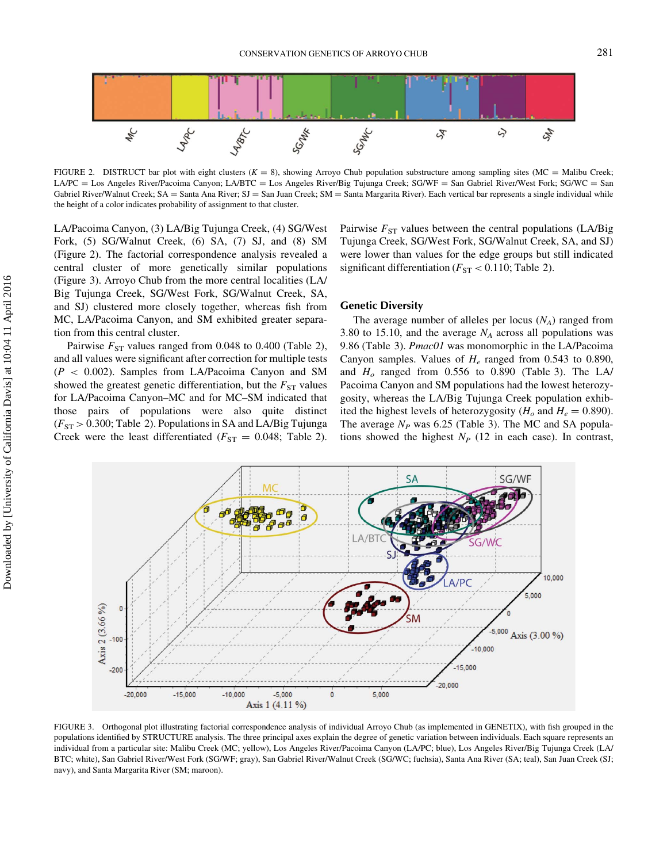

FIGURE 2. DISTRUCT bar plot with eight clusters  $(K = 8)$ , showing Arroyo Chub population substructure among sampling sites (MC = Malibu Creek; LA/PC = Los Angeles River/Pacoima Canyon; LA/BTC = Los Angeles River/Big Tujunga Creek; SG/WF = San Gabriel River/West Fork; SG/WC = San Gabriel River/Walnut Creek; SA = Santa Ana River; SJ = San Juan Creek; SM = Santa Margarita River). Each vertical bar represents a single individual while the height of a color indicates probability of assignment to that cluster.

LA/Pacoima Canyon, (3) LA/Big Tujunga Creek, (4) SG/West Fork, (5) SG/Walnut Creek, (6) SA, (7) SJ, and (8) SM (Figure 2). The factorial correspondence analysis revealed a central cluster of more genetically similar populations (Figure 3). Arroyo Chub from the more central localities (LA/ Big Tujunga Creek, SG/West Fork, SG/Walnut Creek, SA, and SJ) clustered more closely together, whereas fish from MC, LA/Pacoima Canyon, and SM exhibited greater separation from this central cluster.

Pairwise  $F_{ST}$  values ranged from 0.048 to 0.400 (Table 2), and all values were significant after correction for multiple tests  $(P < 0.002)$ . Samples from LA/Pacoima Canyon and SM showed the greatest genetic differentiation, but the  $F_{ST}$  values for LA/Pacoima Canyon–MC and for MC–SM indicated that those pairs of populations were also quite distinct  $(F_{ST} > 0.300;$  Table 2). Populations in SA and LA/Big Tujunga Creek were the least differentiated ( $F_{ST} = 0.048$ ; Table 2).

Pairwise  $F_{ST}$  values between the central populations (LA/Big Tujunga Creek, SG/West Fork, SG/Walnut Creek, SA, and SJ) were lower than values for the edge groups but still indicated significant differentiation ( $F_{ST}$  < 0.110; Table 2).

# Genetic Diversity

The average number of alleles per locus  $(N_A)$  ranged from 3.80 to 15.10, and the average  $N_A$  across all populations was 9.86 (Table 3). Pmac01 was monomorphic in the LA/Pacoima Canyon samples. Values of  $H_e$  ranged from 0.543 to 0.890, and  $H_o$  ranged from 0.556 to 0.890 (Table 3). The LA/ Pacoima Canyon and SM populations had the lowest heterozygosity, whereas the LA/Big Tujunga Creek population exhibited the highest levels of heterozygosity ( $H_o$  and  $H_e = 0.890$ ). The average  $N_P$  was 6.25 (Table 3). The MC and SA populations showed the highest  $N_P$  (12 in each case). In contrast,



FIGURE 3. Orthogonal plot illustrating factorial correspondence analysis of individual Arroyo Chub (as implemented in GENETIX), with fish grouped in the populations identified by STRUCTURE analysis. The three principal axes explain the degree of genetic variation between individuals. Each square represents an individual from a particular site: Malibu Creek (MC; yellow), Los Angeles River/Pacoima Canyon (LA/PC; blue), Los Angeles River/Big Tujunga Creek (LA/ BTC; white), San Gabriel River/West Fork (SG/WF; gray), San Gabriel River/Walnut Creek (SG/WC; fuchsia), Santa Ana River (SA; teal), San Juan Creek (SJ; navy), and Santa Margarita River (SM; maroon).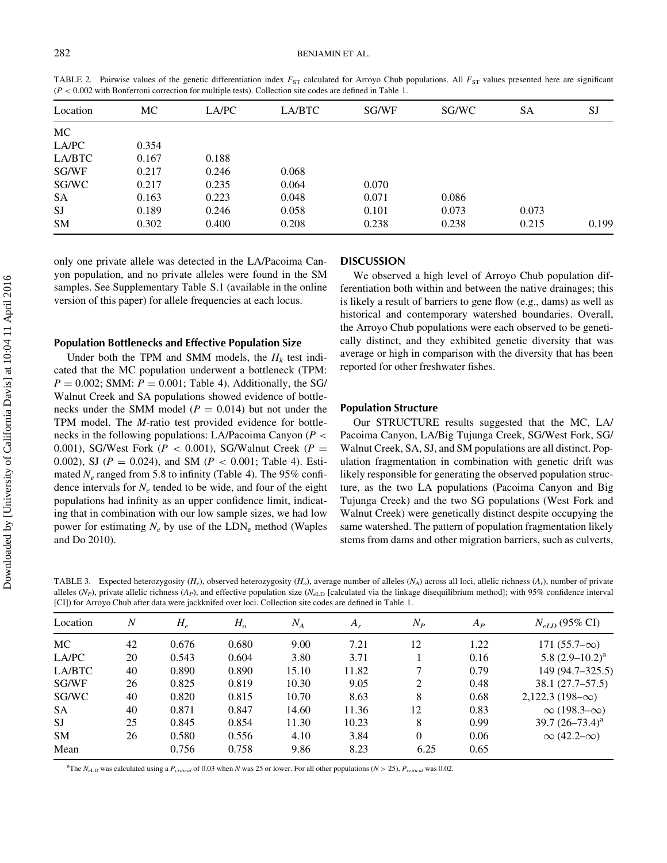| Location  | <b>MC</b> | LA/PC | LA/BTC | SG/WF | SG/WC | <b>SA</b> | <b>SJ</b> |
|-----------|-----------|-------|--------|-------|-------|-----------|-----------|
| MC        |           |       |        |       |       |           |           |
| LA/PC     | 0.354     |       |        |       |       |           |           |
| LA/BTC    | 0.167     | 0.188 |        |       |       |           |           |
| SG/WF     | 0.217     | 0.246 | 0.068  |       |       |           |           |
| SG/WC     | 0.217     | 0.235 | 0.064  | 0.070 |       |           |           |
| <b>SA</b> | 0.163     | 0.223 | 0.048  | 0.071 | 0.086 |           |           |
| SJ        | 0.189     | 0.246 | 0.058  | 0.101 | 0.073 | 0.073     |           |
| <b>SM</b> | 0.302     | 0.400 | 0.208  | 0.238 | 0.238 | 0.215     | 0.199     |

TABLE 2. Pairwise values of the genetic differentiation index  $F_{ST}$  calculated for Arroyo Chub populations. All  $F_{ST}$  values presented here are significant (P < 0.002 with Bonferroni correction for multiple tests). Collection site codes are defined in Table 1.

only one private allele was detected in the LA/Pacoima Canyon population, and no private alleles were found in the SM samples. See Supplementary Table S.1 (available in the online version of this paper) for allele frequencies at each locus.

# Population Bottlenecks and Effective Population Size

Under both the TPM and SMM models, the  $H_k$  test indicated that the MC population underwent a bottleneck (TPM:  $P = 0.002$ ; SMM:  $P = 0.001$ ; Table 4). Additionally, the SG/ Walnut Creek and SA populations showed evidence of bottlenecks under the SMM model ( $P = 0.014$ ) but not under the TPM model. The M-ratio test provided evidence for bottlenecks in the following populations: LA/Pacoima Canyon ( $P <$ 0.001), SG/West Fork ( $P < 0.001$ ), SG/Walnut Creek ( $P =$ 0.002), SJ ( $P = 0.024$ ), and SM ( $P < 0.001$ ; Table 4). Estimated  $N_e$  ranged from 5.8 to infinity (Table 4). The 95% confidence intervals for  $N_e$  tended to be wide, and four of the eight populations had infinity as an upper confidence limit, indicating that in combination with our low sample sizes, we had low power for estimating  $N_e$  by use of the LDN<sub>e</sub> method (Waples and Do 2010).

#### DISCUSSION

We observed a high level of Arroyo Chub population differentiation both within and between the native drainages; this is likely a result of barriers to gene flow (e.g., dams) as well as historical and contemporary watershed boundaries. Overall, the Arroyo Chub populations were each observed to be genetically distinct, and they exhibited genetic diversity that was average or high in comparison with the diversity that has been reported for other freshwater fishes.

#### Population Structure

Our STRUCTURE results suggested that the MC, LA/ Pacoima Canyon, LA/Big Tujunga Creek, SG/West Fork, SG/ Walnut Creek, SA, SJ, and SM populations are all distinct. Population fragmentation in combination with genetic drift was likely responsible for generating the observed population structure, as the two LA populations (Pacoima Canyon and Big Tujunga Creek) and the two SG populations (West Fork and Walnut Creek) were genetically distinct despite occupying the same watershed. The pattern of population fragmentation likely stems from dams and other migration barriers, such as culverts,

TABLE 3. Expected heterozygosity  $(H_e)$ , observed heterozygosity  $(H_o)$ , average number of alleles  $(N_A)$  across all loci, allelic richness  $(A_r)$ , number of private alleles (N<sub>P</sub>), private allelic richness (A<sub>P</sub>), and effective population size (N<sub>eLD</sub> [calculated via the linkage disequilibrium method]; with 95% confidence interval [CI]) for Arroyo Chub after data were jackknifed over loci. Collection site codes are defined in Table 1.

| Location  | $\boldsymbol{N}$ | $H_e$ | H <sub>o</sub> | $N_A$ | $A_r$ | $N_P$    | $A_P$ | $N_{eLD}$ (95% CI)          |
|-----------|------------------|-------|----------------|-------|-------|----------|-------|-----------------------------|
| МC        | 42               | 0.676 | 0.680          | 9.00  | 7.21  | 12       | 1.22  | 171 $(55.7 - \infty)$       |
| LA/PC     | 20               | 0.543 | 0.604          | 3.80  | 3.71  |          | 0.16  | 5.8 $(2.9-10.2)^a$          |
| LA/BTC    | 40               | 0.890 | 0.890          | 15.10 | 11.82 | 7        | 0.79  | 149 (94.7-325.5)            |
| SG/WF     | 26               | 0.825 | 0.819          | 10.30 | 9.05  | 2        | 0.48  | $38.1(27.7 - 57.5)$         |
| SG/WC     | 40               | 0.820 | 0.815          | 10.70 | 8.63  | 8        | 0.68  | $2,122.3(198-\infty)$       |
| <b>SA</b> | 40               | 0.871 | 0.847          | 14.60 | 11.36 | 12       | 0.83  | $\infty$ (198.3– $\infty$ ) |
| SJ        | 25               | 0.845 | 0.854          | 11.30 | 10.23 | 8        | 0.99  | 39.7 $(26-73.4)^a$          |
| <b>SM</b> | 26               | 0.580 | 0.556          | 4.10  | 3.84  | $\theta$ | 0.06  | $\infty$ (42.2– $\infty$ )  |
| Mean      |                  | 0.756 | 0.758          | 9.86  | 8.23  | 6.25     | 0.65  |                             |

<sup>a</sup>The N<sub>eLD</sub> was calculated using a P<sub>critical</sub> of 0.03 when N was 25 or lower. For all other populations (N > 25), P<sub>critical</sub> was 0.02.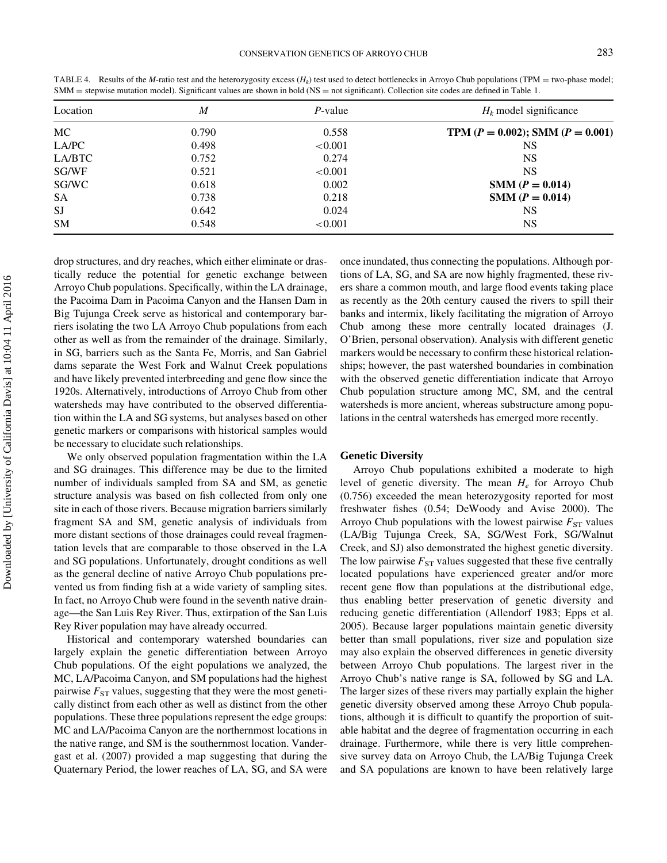| Location  | M     | P-value    | $H_k$ model significance                 |
|-----------|-------|------------|------------------------------------------|
| MC.       | 0.790 | 0.558      | TPM ( $P = 0.002$ ); SMM ( $P = 0.001$ ) |
| LA/PC     | 0.498 | ${<}0.001$ | <b>NS</b>                                |
| LA/BTC    | 0.752 | 0.274      | <b>NS</b>                                |
| SG/WF     | 0.521 | ${<}0.001$ | <b>NS</b>                                |
| SG/WC     | 0.618 | 0.002      | SMM $(P = 0.014)$                        |
| <b>SA</b> | 0.738 | 0.218      | SMM $(P = 0.014)$                        |
| <b>SJ</b> | 0.642 | 0.024      | <b>NS</b>                                |
| <b>SM</b> | 0.548 | ${<}0.001$ | <b>NS</b>                                |

TABLE 4. Results of the M-ratio test and the heterozygosity excess  $(H_k)$  test used to detect bottlenecks in Arroyo Chub populations (TPM = two-phase model;  $SMM =$  stepwise mutation model). Significant values are shown in bold ( $NS =$  not significant). Collection site codes are defined in Table 1.

drop structures, and dry reaches, which either eliminate or drastically reduce the potential for genetic exchange between Arroyo Chub populations. Specifically, within the LA drainage, the Pacoima Dam in Pacoima Canyon and the Hansen Dam in Big Tujunga Creek serve as historical and contemporary barriers isolating the two LA Arroyo Chub populations from each other as well as from the remainder of the drainage. Similarly, in SG, barriers such as the Santa Fe, Morris, and San Gabriel dams separate the West Fork and Walnut Creek populations and have likely prevented interbreeding and gene flow since the 1920s. Alternatively, introductions of Arroyo Chub from other watersheds may have contributed to the observed differentiation within the LA and SG systems, but analyses based on other genetic markers or comparisons with historical samples would be necessary to elucidate such relationships.

We only observed population fragmentation within the LA and SG drainages. This difference may be due to the limited number of individuals sampled from SA and SM, as genetic structure analysis was based on fish collected from only one site in each of those rivers. Because migration barriers similarly fragment SA and SM, genetic analysis of individuals from more distant sections of those drainages could reveal fragmentation levels that are comparable to those observed in the LA and SG populations. Unfortunately, drought conditions as well as the general decline of native Arroyo Chub populations prevented us from finding fish at a wide variety of sampling sites. In fact, no Arroyo Chub were found in the seventh native drainage—the San Luis Rey River. Thus, extirpation of the San Luis Rey River population may have already occurred.

Historical and contemporary watershed boundaries can largely explain the genetic differentiation between Arroyo Chub populations. Of the eight populations we analyzed, the MC, LA/Pacoima Canyon, and SM populations had the highest pairwise  $F_{ST}$  values, suggesting that they were the most genetically distinct from each other as well as distinct from the other populations. These three populations represent the edge groups: MC and LA/Pacoima Canyon are the northernmost locations in the native range, and SM is the southernmost location. Vandergast et al. (2007) provided a map suggesting that during the Quaternary Period, the lower reaches of LA, SG, and SA were once inundated, thus connecting the populations. Although portions of LA, SG, and SA are now highly fragmented, these rivers share a common mouth, and large flood events taking place as recently as the 20th century caused the rivers to spill their banks and intermix, likely facilitating the migration of Arroyo Chub among these more centrally located drainages (J. O'Brien, personal observation). Analysis with different genetic markers would be necessary to confirm these historical relationships; however, the past watershed boundaries in combination with the observed genetic differentiation indicate that Arroyo Chub population structure among MC, SM, and the central watersheds is more ancient, whereas substructure among populations in the central watersheds has emerged more recently.

#### Genetic Diversity

Arroyo Chub populations exhibited a moderate to high level of genetic diversity. The mean  $H_e$  for Arroyo Chub (0.756) exceeded the mean heterozygosity reported for most freshwater fishes (0.54; DeWoody and Avise 2000). The Arroyo Chub populations with the lowest pairwise  $F_{ST}$  values (LA/Big Tujunga Creek, SA, SG/West Fork, SG/Walnut Creek, and SJ) also demonstrated the highest genetic diversity. The low pairwise  $F_{ST}$  values suggested that these five centrally located populations have experienced greater and/or more recent gene flow than populations at the distributional edge, thus enabling better preservation of genetic diversity and reducing genetic differentiation (Allendorf 1983; Epps et al. 2005). Because larger populations maintain genetic diversity better than small populations, river size and population size may also explain the observed differences in genetic diversity between Arroyo Chub populations. The largest river in the Arroyo Chub's native range is SA, followed by SG and LA. The larger sizes of these rivers may partially explain the higher genetic diversity observed among these Arroyo Chub populations, although it is difficult to quantify the proportion of suitable habitat and the degree of fragmentation occurring in each drainage. Furthermore, while there is very little comprehensive survey data on Arroyo Chub, the LA/Big Tujunga Creek and SA populations are known to have been relatively large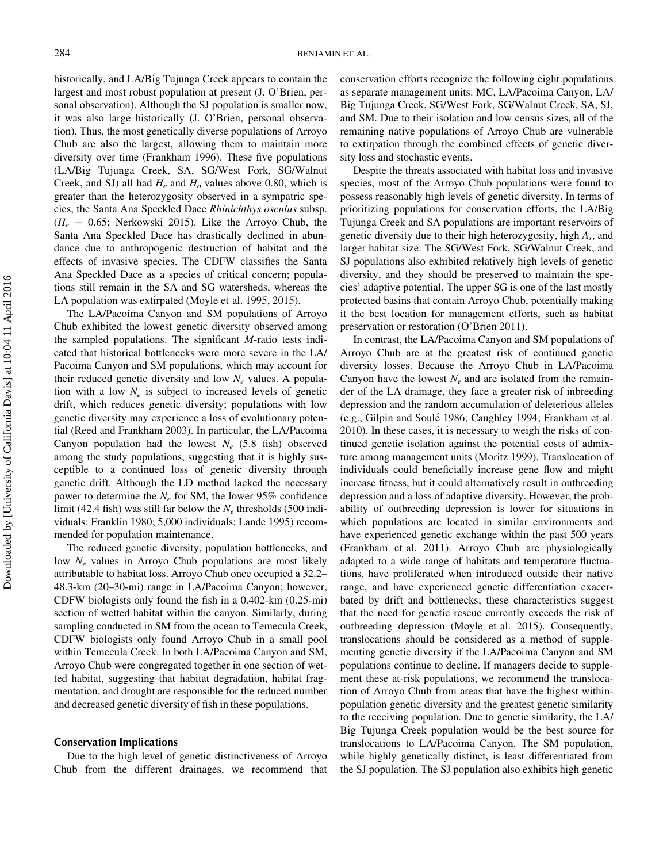historically, and LA/Big Tujunga Creek appears to contain the largest and most robust population at present (J. O'Brien, personal observation). Although the SJ population is smaller now, it was also large historically (J. O'Brien, personal observation). Thus, the most genetically diverse populations of Arroyo Chub are also the largest, allowing them to maintain more diversity over time (Frankham 1996). These five populations (LA/Big Tujunga Creek, SA, SG/West Fork, SG/Walnut Creek, and SJ) all had  $H_e$  and  $H_o$  values above 0.80, which is greater than the heterozygosity observed in a sympatric species, the Santa Ana Speckled Dace Rhinichthys osculus subsp.  $(H_e = 0.65;$  Nerkowski 2015). Like the Arroyo Chub, the Santa Ana Speckled Dace has drastically declined in abundance due to anthropogenic destruction of habitat and the effects of invasive species. The CDFW classifies the Santa Ana Speckled Dace as a species of critical concern; populations still remain in the SA and SG watersheds, whereas the LA population was extirpated (Moyle et al. 1995, 2015).

The LA/Pacoima Canyon and SM populations of Arroyo Chub exhibited the lowest genetic diversity observed among the sampled populations. The significant M-ratio tests indicated that historical bottlenecks were more severe in the LA/ Pacoima Canyon and SM populations, which may account for their reduced genetic diversity and low  $N_e$  values. A population with a low  $N_e$  is subject to increased levels of genetic drift, which reduces genetic diversity; populations with low genetic diversity may experience a loss of evolutionary potential (Reed and Frankham 2003). In particular, the LA/Pacoima Canyon population had the lowest  $N_e$  (5.8 fish) observed among the study populations, suggesting that it is highly susceptible to a continued loss of genetic diversity through genetic drift. Although the LD method lacked the necessary power to determine the  $N_e$  for SM, the lower 95% confidence limit (42.4 fish) was still far below the  $N_e$  thresholds (500 individuals: Franklin 1980; 5,000 individuals: Lande 1995) recommended for population maintenance.

The reduced genetic diversity, population bottlenecks, and low  $N_e$  values in Arroyo Chub populations are most likely attributable to habitat loss. Arroyo Chub once occupied a 32.2– 48.3-km (20–30-mi) range in LA/Pacoima Canyon; however, CDFW biologists only found the fish in a 0.402-km (0.25-mi) section of wetted habitat within the canyon. Similarly, during sampling conducted in SM from the ocean to Temecula Creek, CDFW biologists only found Arroyo Chub in a small pool within Temecula Creek. In both LA/Pacoima Canyon and SM, Arroyo Chub were congregated together in one section of wetted habitat, suggesting that habitat degradation, habitat fragmentation, and drought are responsible for the reduced number and decreased genetic diversity of fish in these populations.

#### Conservation Implications

Due to the high level of genetic distinctiveness of Arroyo Chub from the different drainages, we recommend that conservation efforts recognize the following eight populations as separate management units: MC, LA/Pacoima Canyon, LA/ Big Tujunga Creek, SG/West Fork, SG/Walnut Creek, SA, SJ, and SM. Due to their isolation and low census sizes, all of the remaining native populations of Arroyo Chub are vulnerable to extirpation through the combined effects of genetic diversity loss and stochastic events.

Despite the threats associated with habitat loss and invasive species, most of the Arroyo Chub populations were found to possess reasonably high levels of genetic diversity. In terms of prioritizing populations for conservation efforts, the LA/Big Tujunga Creek and SA populations are important reservoirs of genetic diversity due to their high heterozygosity, high  $A_r$ , and larger habitat size. The SG/West Fork, SG/Walnut Creek, and SJ populations also exhibited relatively high levels of genetic diversity, and they should be preserved to maintain the species' adaptive potential. The upper SG is one of the last mostly protected basins that contain Arroyo Chub, potentially making it the best location for management efforts, such as habitat preservation or restoration (O'Brien 2011).

In contrast, the LA/Pacoima Canyon and SM populations of Arroyo Chub are at the greatest risk of continued genetic diversity losses. Because the Arroyo Chub in LA/Pacoima Canyon have the lowest  $N_e$  and are isolated from the remainder of the LA drainage, they face a greater risk of inbreeding depression and the random accumulation of deleterious alleles (e.g., Gilpin and Soulé 1986; Caughley 1994; Frankham et al. 2010). In these cases, it is necessary to weigh the risks of continued genetic isolation against the potential costs of admixture among management units (Moritz 1999). Translocation of individuals could beneficially increase gene flow and might increase fitness, but it could alternatively result in outbreeding depression and a loss of adaptive diversity. However, the probability of outbreeding depression is lower for situations in which populations are located in similar environments and have experienced genetic exchange within the past 500 years (Frankham et al. 2011). Arroyo Chub are physiologically adapted to a wide range of habitats and temperature fluctuations, have proliferated when introduced outside their native range, and have experienced genetic differentiation exacerbated by drift and bottlenecks; these characteristics suggest that the need for genetic rescue currently exceeds the risk of outbreeding depression (Moyle et al. 2015). Consequently, translocations should be considered as a method of supplementing genetic diversity if the LA/Pacoima Canyon and SM populations continue to decline. If managers decide to supplement these at-risk populations, we recommend the translocation of Arroyo Chub from areas that have the highest withinpopulation genetic diversity and the greatest genetic similarity to the receiving population. Due to genetic similarity, the LA/ Big Tujunga Creek population would be the best source for translocations to LA/Pacoima Canyon. The SM population, while highly genetically distinct, is least differentiated from the SJ population. The SJ population also exhibits high genetic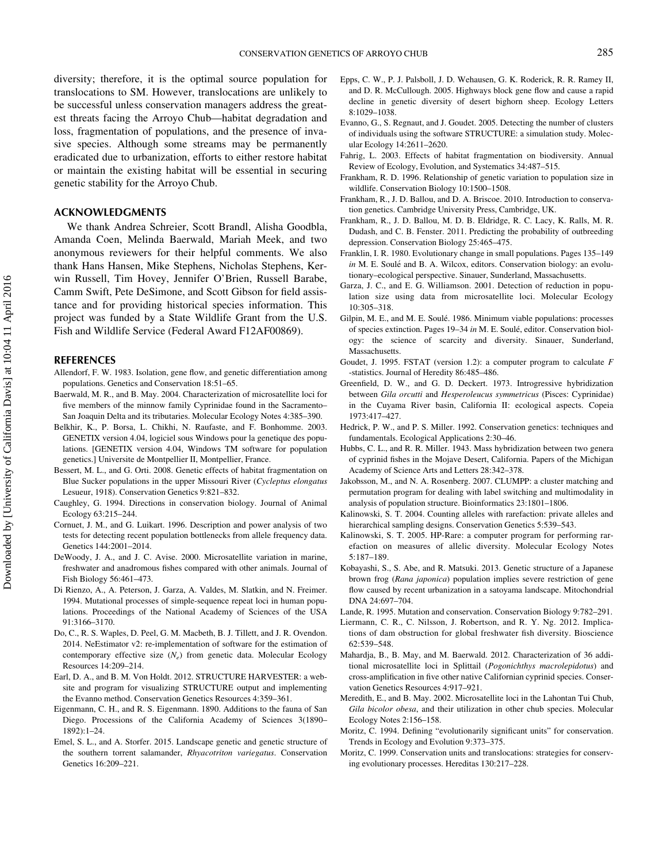diversity; therefore, it is the optimal source population for translocations to SM. However, translocations are unlikely to be successful unless conservation managers address the greatest threats facing the Arroyo Chub—habitat degradation and loss, fragmentation of populations, and the presence of invasive species. Although some streams may be permanently eradicated due to urbanization, efforts to either restore habitat or maintain the existing habitat will be essential in securing genetic stability for the Arroyo Chub.

#### ACKNOWLEDGMENTS

We thank Andrea Schreier, Scott Brandl, Alisha Goodbla, Amanda Coen, Melinda Baerwald, Mariah Meek, and two anonymous reviewers for their helpful comments. We also thank Hans Hansen, Mike Stephens, Nicholas Stephens, Kerwin Russell, Tim Hovey, Jennifer O'Brien, Russell Barabe, Camm Swift, Pete DeSimone, and Scott Gibson for field assistance and for providing historical species information. This project was funded by a State Wildlife Grant from the U.S. Fish and Wildlife Service (Federal Award F12AF00869).

#### **REFERENCES**

- Allendorf, F. W. 1983. Isolation, gene flow, and genetic differentiation among populations. Genetics and Conservation 18:51–65.
- Baerwald, M. R., and B. May. 2004. Characterization of microsatellite loci for five members of the minnow family Cyprinidae found in the Sacramento– San Joaquin Delta and its tributaries. Molecular Ecology Notes 4:385–390.
- Belkhir, K., P. Borsa, L. Chikhi, N. Raufaste, and F. Bonhomme. 2003. GENETIX version 4.04, logiciel sous Windows pour la genetique des populations. [GENETIX version 4.04, Windows TM software for population genetics.] Universite de Montpellier II, Montpellier, France.
- Bessert, M. L., and G. Orti. 2008. Genetic effects of habitat fragmentation on Blue Sucker populations in the upper Missouri River (Cycleptus elongatus Lesueur, 1918). Conservation Genetics 9:821–832.
- Caughley, G. 1994. Directions in conservation biology. Journal of Animal Ecology 63:215–244.
- Cornuet, J. M., and G. Luikart. 1996. Description and power analysis of two tests for detecting recent population bottlenecks from allele frequency data. Genetics 144:2001–2014.
- DeWoody, J. A., and J. C. Avise. 2000. Microsatellite variation in marine, freshwater and anadromous fishes compared with other animals. Journal of Fish Biology 56:461–473.
- Di Rienzo, A., A. Peterson, J. Garza, A. Valdes, M. Slatkin, and N. Freimer. 1994. Mutational processes of simple-sequence repeat loci in human populations. Proceedings of the National Academy of Sciences of the USA 91:3166–3170.
- Do, C., R. S. Waples, D. Peel, G. M. Macbeth, B. J. Tillett, and J. R. Ovendon. 2014. NeEstimator v2: re-implementation of software for the estimation of contemporary effective size  $(N_e)$  from genetic data. Molecular Ecology Resources 14:209–214.
- Earl, D. A., and B. M. Von Holdt. 2012. STRUCTURE HARVESTER: a website and program for visualizing STRUCTURE output and implementing the Evanno method. Conservation Genetics Resources 4:359–361.
- Eigenmann, C. H., and R. S. Eigenmann. 1890. Additions to the fauna of San Diego. Processions of the California Academy of Sciences 3(1890– 1892):1–24.
- Emel, S. L., and A. Storfer. 2015. Landscape genetic and genetic structure of the southern torrent salamander, Rhyacotriton variegatus. Conservation Genetics 16:209–221.
- Epps, C. W., P. J. Palsboll, J. D. Wehausen, G. K. Roderick, R. R. Ramey II, and D. R. McCullough. 2005. Highways block gene flow and cause a rapid decline in genetic diversity of desert bighorn sheep. Ecology Letters 8:1029–1038.
- Evanno, G., S. Regnaut, and J. Goudet. 2005. Detecting the number of clusters of individuals using the software STRUCTURE: a simulation study. Molecular Ecology 14:2611–2620.
- Fahrig, L. 2003. Effects of habitat fragmentation on biodiversity. Annual Review of Ecology, Evolution, and Systematics 34:487–515.
- Frankham, R. D. 1996. Relationship of genetic variation to population size in wildlife. Conservation Biology 10:1500–1508.
- Frankham, R., J. D. Ballou, and D. A. Briscoe. 2010. Introduction to conservation genetics. Cambridge University Press, Cambridge, UK.
- Frankham, R., J. D. Ballou, M. D. B. Eldridge, R. C. Lacy, K. Ralls, M. R. Dudash, and C. B. Fenster. 2011. Predicting the probability of outbreeding depression. Conservation Biology 25:465–475.
- Franklin, I. R. 1980. Evolutionary change in small populations. Pages 135–149 in M. E. Soulé and B. A. Wilcox, editors. Conservation biology: an evolutionary–ecological perspective. Sinauer, Sunderland, Massachusetts.
- Garza, J. C., and E. G. Williamson. 2001. Detection of reduction in population size using data from microsatellite loci. Molecular Ecology 10:305–318.
- Gilpin, M. E., and M. E. Soulé. 1986. Minimum viable populations: processes of species extinction. Pages 19-34 in M. E. Soulé, editor. Conservation biology: the science of scarcity and diversity. Sinauer, Sunderland, Massachusetts.
- Goudet, J. 1995. FSTAT (version 1.2): a computer program to calculate  $F$ -statistics. Journal of Heredity 86:485–486.
- Greenfield, D. W., and G. D. Deckert. 1973. Introgressive hybridization between Gila orcutti and Hesperoleucus symmetricus (Pisces: Cyprinidae) in the Cuyama River basin, California II: ecological aspects. Copeia 1973:417–427.
- Hedrick, P. W., and P. S. Miller. 1992. Conservation genetics: techniques and fundamentals. Ecological Applications 2:30–46.
- Hubbs, C. L., and R. R. Miller. 1943. Mass hybridization between two genera of cyprinid fishes in the Mojave Desert, California. Papers of the Michigan Academy of Science Arts and Letters 28:342–378.
- Jakobsson, M., and N. A. Rosenberg. 2007. CLUMPP: a cluster matching and permutation program for dealing with label switching and multimodality in analysis of population structure. Bioinformatics 23:1801–1806.
- Kalinowski, S. T. 2004. Counting alleles with rarefaction: private alleles and hierarchical sampling designs. Conservation Genetics 5:539–543.
- Kalinowski, S. T. 2005. HP-Rare: a computer program for performing rarefaction on measures of allelic diversity. Molecular Ecology Notes 5:187–189.
- Kobayashi, S., S. Abe, and R. Matsuki. 2013. Genetic structure of a Japanese brown frog (Rana japonica) population implies severe restriction of gene flow caused by recent urbanization in a satoyama landscape. Mitochondrial DNA 24:697–704.
- Lande, R. 1995. Mutation and conservation. Conservation Biology 9:782–291.
- Liermann, C. R., C. Nilsson, J. Robertson, and R. Y. Ng. 2012. Implications of dam obstruction for global freshwater fish diversity. Bioscience 62:539–548.
- Mahardja, B., B. May, and M. Baerwald. 2012. Characterization of 36 additional microsatellite loci in Splittail (Pogonichthys macrolepidotus) and cross-amplification in five other native Californian cyprinid species. Conservation Genetics Resources 4:917–921.
- Meredith, E., and B. May. 2002. Microsatellite loci in the Lahontan Tui Chub, Gila bicolor obesa, and their utilization in other chub species. Molecular Ecology Notes 2:156–158.
- Moritz, C. 1994. Defining "evolutionarily significant units" for conservation. Trends in Ecology and Evolution 9:373–375.
- Moritz, C. 1999. Conservation units and translocations: strategies for conserving evolutionary processes. Hereditas 130:217–228.